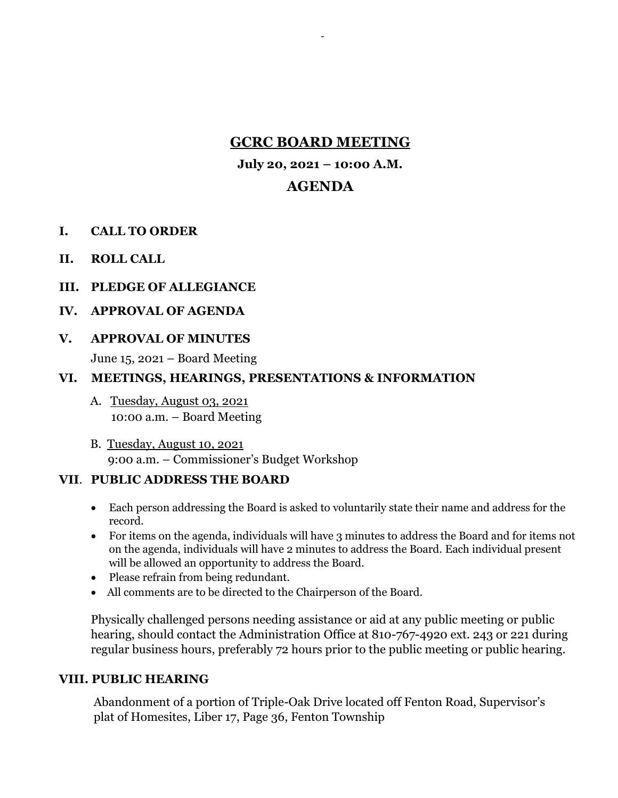# **GCRC BOARD MEETING**

-

**July 20, 2021 – 10:00 A.M.**

# **AGENDA**

- **I. CALL TO ORDER**
- **II. ROLL CALL**
- **III. PLEDGE OF ALLEGIANCE**

### **IV. APPROVAL OF AGENDA**

### **V. APPROVAL OF MINUTES**

June 15, 2021 – Board Meeting

### **VI. MEETINGS, HEARINGS, PRESENTATIONS & INFORMATION**

- A. Tuesday, August 03, 2021 10:00 a.m. – Board Meeting
- B. Tuesday, August 10, 2021 9:00 a.m. – Commissioner's Budget Workshop

# **VII**. **PUBLIC ADDRESS THE BOARD**

- Each person addressing the Board is asked to voluntarily state their name and address for the record.
- For items on the agenda, individuals will have 3 minutes to address the Board and for items not on the agenda, individuals will have 2 minutes to address the Board. Each individual present will be allowed an opportunity to address the Board.
- Please refrain from being redundant.
- All comments are to be directed to the Chairperson of the Board.

Physically challenged persons needing assistance or aid at any public meeting or public hearing, should contact the Administration Office at 810-767-4920 ext. 243 or 221 during regular business hours, preferably 72 hours prior to the public meeting or public hearing.

# **VIII. PUBLIC HEARING**

Abandonment of a portion of Triple-Oak Drive located off Fenton Road, Supervisor's plat of Homesites, Liber 17, Page 36, Fenton Township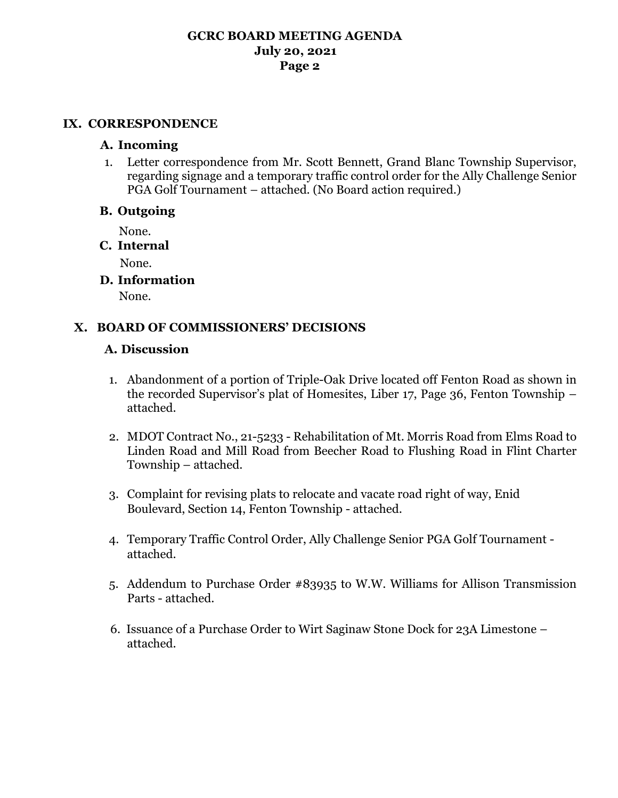#### **GCRC BOARD MEETING AGENDA July 20, 2021 Page 2**

#### **IX. CORRESPONDENCE**

#### **A. Incoming**

1. Letter correspondence from Mr. Scott Bennett, Grand Blanc Township Supervisor, regarding signage and a temporary traffic control order for the Ally Challenge Senior PGA Golf Tournament – attached. (No Board action required.)

### **B. Outgoing**

None.

**C. Internal**

None.

**D. Information**

None.

# **X. BOARD OF COMMISSIONERS' DECISIONS**

# **A. Discussion**

- 1. Abandonment of a portion of Triple-Oak Drive located off Fenton Road as shown in the recorded Supervisor's plat of Homesites, Liber 17, Page 36, Fenton Township – attached.
- 2. MDOT Contract No., 21-5233 Rehabilitation of Mt. Morris Road from Elms Road to Linden Road and Mill Road from Beecher Road to Flushing Road in Flint Charter Township – attached.
- 3. Complaint for revising plats to relocate and vacate road right of way, Enid Boulevard, Section 14, Fenton Township - attached.
- 4. Temporary Traffic Control Order, Ally Challenge Senior PGA Golf Tournament attached.
- 5. Addendum to Purchase Order #83935 to W.W. Williams for Allison Transmission Parts - attached.
- 6. Issuance of a Purchase Order to Wirt Saginaw Stone Dock for 23A Limestone attached.